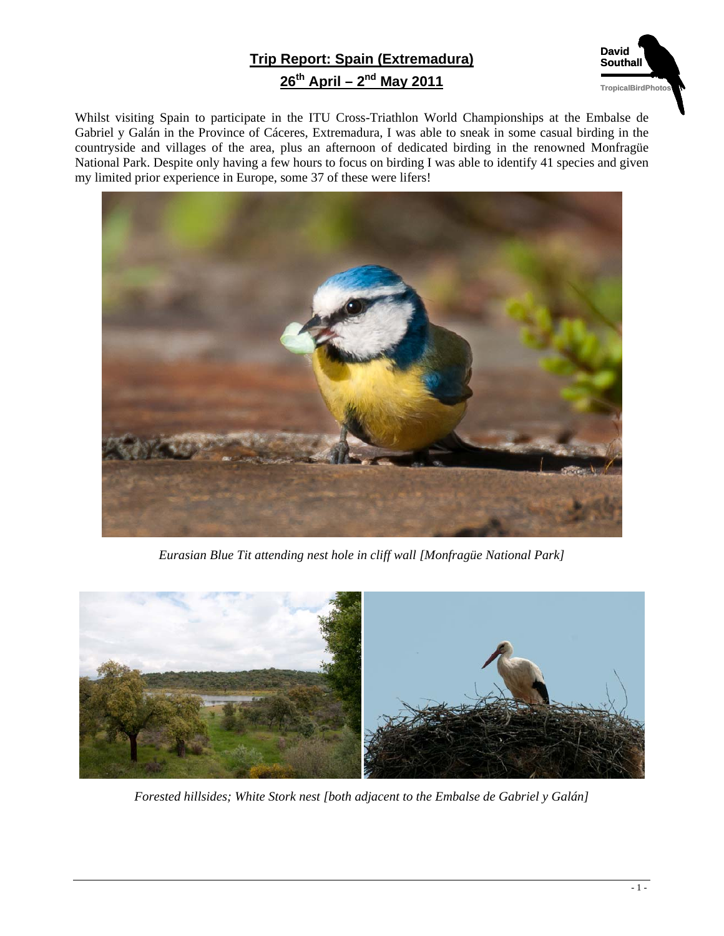## **Trip Report: Spain (Extremadura) 26th April – 2nd May 2011**



Whilst visiting Spain to participate in the ITU Cross-Triathlon World Championships at the Embalse de Gabriel y Galán in the Province of Cáceres, Extremadura, I was able to sneak in some casual birding in the countryside and villages of the area, plus an afternoon of dedicated birding in the renowned Monfragüe National Park. Despite only having a few hours to focus on birding I was able to identify 41 species and given my limited prior experience in Europe, some 37 of these were lifers!



*Eurasian Blue Tit attending nest hole in cliff wall [Monfragüe National Park]* 



*Forested hillsides; White Stork nest [both adjacent to the Embalse de Gabriel y Galán]*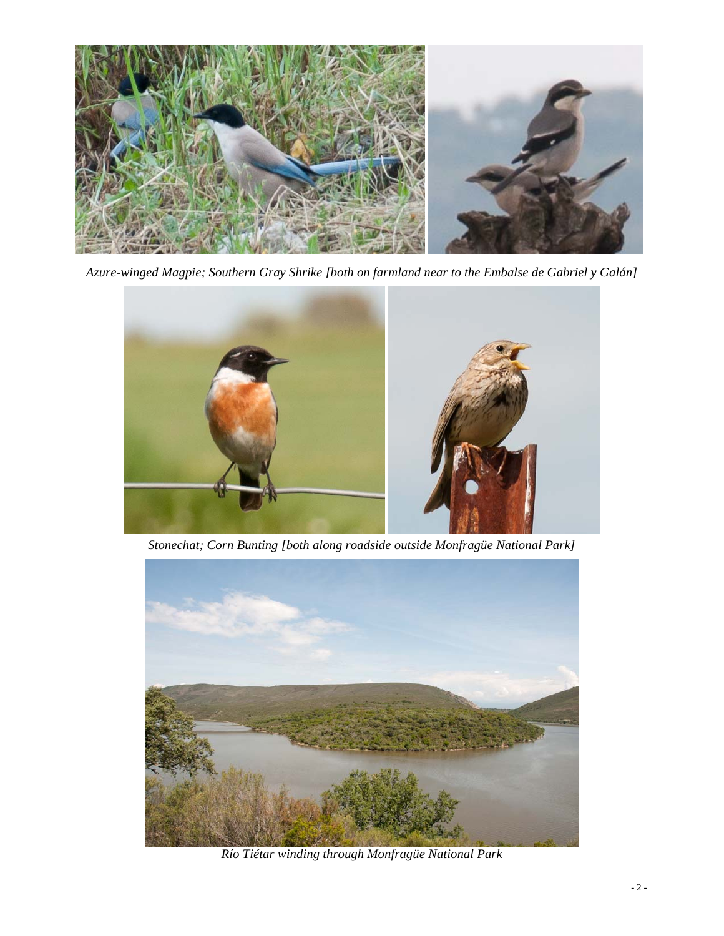

*Azure-winged Magpie; Southern Gray Shrike [both on farmland near to the Embalse de Gabriel y Galán]* 



*Stonechat; Corn Bunting [both along roadside outside Monfragüe National Park]* 



*Río Tiétar winding through Monfragüe National Park*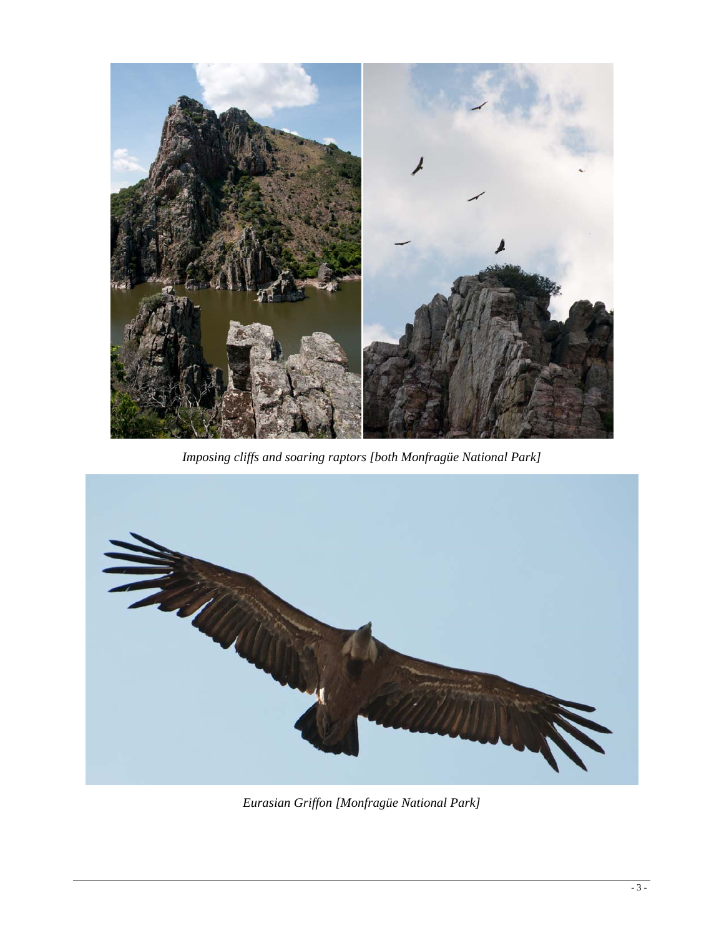

*Imposing cliffs and soaring raptors [both Monfragüe National Park]* 



*Eurasian Griffon [Monfragüe National Park]*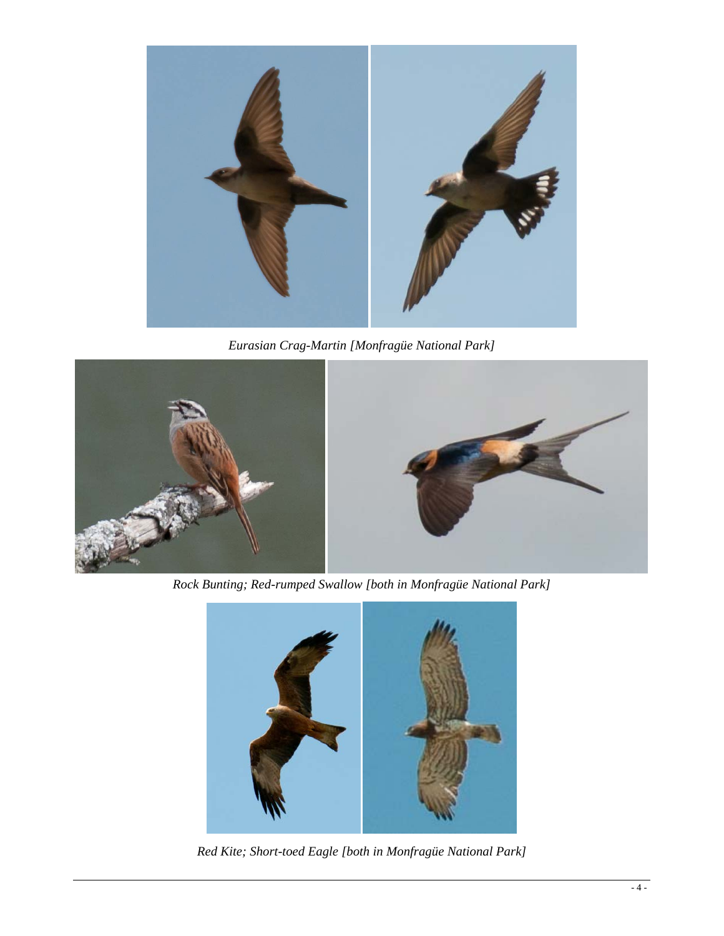

*Eurasian Crag-Martin [Monfragüe National Park]* 



*Rock Bunting; Red-rumped Swallow [both in Monfragüe National Park]* 



*Red Kite; Short-toed Eagle [both in Monfragüe National Park]*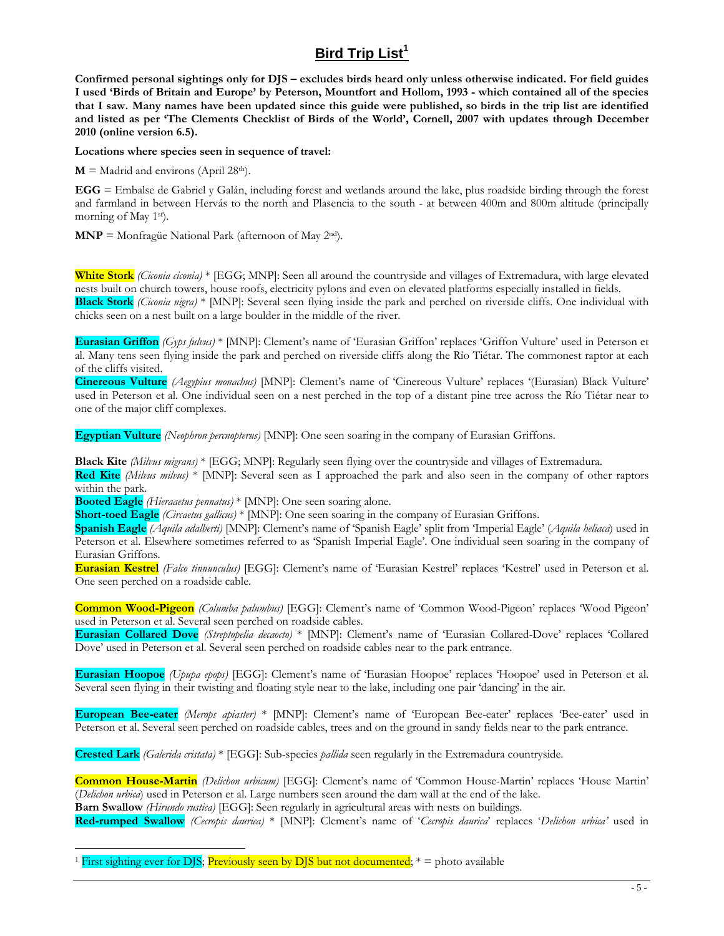## **Bird Trip List<sup>1</sup>**

**Confirmed personal sightings only for DJS – excludes birds heard only unless otherwise indicated. For field guides I used 'Birds of Britain and Europe' by Peterson, Mountfort and Hollom, 1993 - which contained all of the species that I saw. Many names have been updated since this guide were published, so birds in the trip list are identified and listed as per 'The Clements Checklist of Birds of the World', Cornell, 2007 with updates through December 2010 (online version 6.5).**

**Locations where species seen in sequence of travel:** 

 $M =$  Madrid and environs (April 28<sup>th</sup>).

**EGG** = Embalse de Gabriel y Galán, including forest and wetlands around the lake, plus roadside birding through the forest and farmland in between Hervás to the north and Plasencia to the south - at between 400m and 800m altitude (principally morning of May 1<sup>st</sup>).

**MNP** = Monfragüe National Park (afternoon of May 2nd).

**White Stork** *(Ciconia ciconia)* \* [EGG; MNP]: Seen all around the countryside and villages of Extremadura, with large elevated nests built on church towers, house roofs, electricity pylons and even on elevated platforms especially installed in fields. **Black Stork** *(Ciconia nigra)* \* [MNP]: Several seen flying inside the park and perched on riverside cliffs. One individual with chicks seen on a nest built on a large boulder in the middle of the river.

**Eurasian Griffon** *(Gyps fulvus)* \* [MNP]: Clement's name of 'Eurasian Griffon' replaces 'Griffon Vulture' used in Peterson et al. Many tens seen flying inside the park and perched on riverside cliffs along the Río Tiétar. The commonest raptor at each of the cliffs visited.

**Cinereous Vulture** *(Aegypius monachus)* [MNP]: Clement's name of 'Cinereous Vulture' replaces '(Eurasian) Black Vulture' used in Peterson et al. One individual seen on a nest perched in the top of a distant pine tree across the Río Tiétar near to one of the major cliff complexes.

**Egyptian Vulture** *(Neophron percnopterus)* [MNP]: One seen soaring in the company of Eurasian Griffons.

**Black Kite** *(Milvus migrans)* \* [EGG; MNP]: Regularly seen flying over the countryside and villages of Extremadura.

**Red Kite** *(Milvus milvus)* \* [MNP]: Several seen as I approached the park and also seen in the company of other raptors within the park.

**Booted Eagle** *(Hieraaetus pennatus)* \* [MNP]: One seen soaring alone.

**Short-toed Eagle** *(Circaetus gallicus)* \* [MNP]: One seen soaring in the company of Eurasian Griffons.

**Spanish Eagle** *(Aquila adalberti)* [MNP]: Clement's name of 'Spanish Eagle' split from 'Imperial Eagle' (*Aquila heliaca*) used in Peterson et al. Elsewhere sometimes referred to as 'Spanish Imperial Eagle'. One individual seen soaring in the company of Eurasian Griffons.

**Eurasian Kestrel** *(Falco tinnunculus)* [EGG]: Clement's name of 'Eurasian Kestrel' replaces 'Kestrel' used in Peterson et al. One seen perched on a roadside cable.

**Common Wood-Pigeon** *(Columba palumbus)* [EGG]: Clement's name of 'Common Wood-Pigeon' replaces 'Wood Pigeon' used in Peterson et al. Several seen perched on roadside cables.

**Eurasian Collared Dove** *(Streptopelia decaocto)* \* [MNP]: Clement's name of 'Eurasian Collared-Dove' replaces 'Collared Dove' used in Peterson et al. Several seen perched on roadside cables near to the park entrance.

**Eurasian Hoopoe** *(Upupa epops)* [EGG]: Clement's name of 'Eurasian Hoopoe' replaces 'Hoopoe' used in Peterson et al. Several seen flying in their twisting and floating style near to the lake, including one pair 'dancing' in the air.

**European Bee-eater** *(Merops apiaster)* \* [MNP]: Clement's name of 'European Bee-eater' replaces 'Bee-eater' used in Peterson et al. Several seen perched on roadside cables, trees and on the ground in sandy fields near to the park entrance.

**Crested Lark** *(Galerida cristata)* \* [EGG]: Sub-species *pallida* seen regularly in the Extremadura countryside.

**Common House-Martin** *(Delichon urbicum)* [EGG]: Clement's name of 'Common House-Martin' replaces 'House Martin' (*Delichon urbica*) used in Peterson et al. Large numbers seen around the dam wall at the end of the lake.

**Barn Swallow** *(Hirundo rustica)* [EGG]: Seen regularly in agricultural areas with nests on buildings.

**Red-rumped Swallow** *(Cecropis daurica)* \* [MNP]: Clement's name of '*Cecropis daurica*' replaces '*Delichon urbica'* used in

First sighting ever for DJS; Previously seen by DJS but not documented;  $* =$  photo available

1